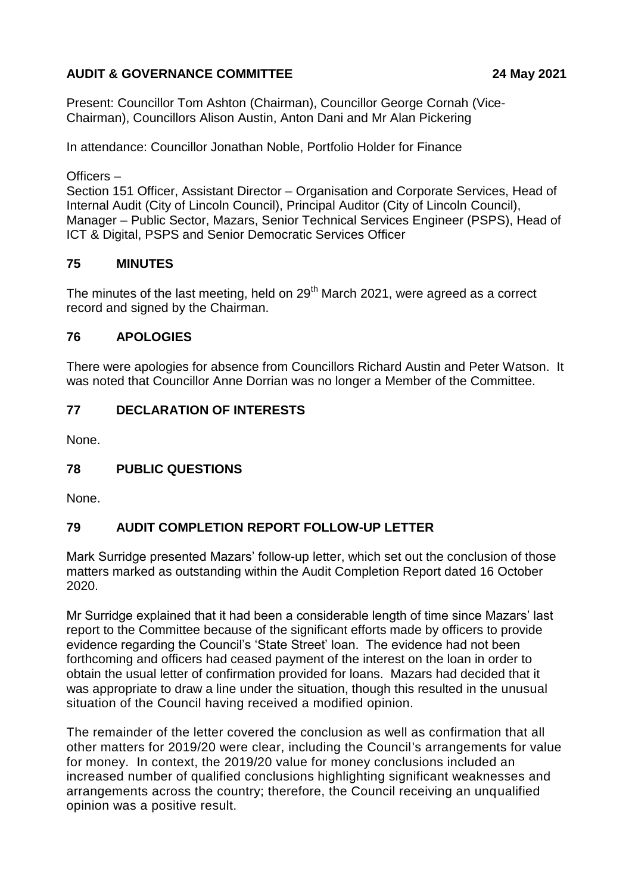# **AUDIT & GOVERNANCE COMMITTEE 24 May 2021**

Present: Councillor Tom Ashton (Chairman), Councillor George Cornah (Vice-Chairman), Councillors Alison Austin, Anton Dani and Mr Alan Pickering

In attendance: Councillor Jonathan Noble, Portfolio Holder for Finance

Officers –

Section 151 Officer, Assistant Director – Organisation and Corporate Services, Head of Internal Audit (City of Lincoln Council), Principal Auditor (City of Lincoln Council), Manager – Public Sector, Mazars, Senior Technical Services Engineer (PSPS), Head of ICT & Digital, PSPS and Senior Democratic Services Officer

## **75 MINUTES**

The minutes of the last meeting, held on 29<sup>th</sup> March 2021, were agreed as a correct record and signed by the Chairman.

## **76 APOLOGIES**

There were apologies for absence from Councillors Richard Austin and Peter Watson. It was noted that Councillor Anne Dorrian was no longer a Member of the Committee.

## **77 DECLARATION OF INTERESTS**

None.

# **78 PUBLIC QUESTIONS**

None.

# **79 AUDIT COMPLETION REPORT FOLLOW-UP LETTER**

Mark Surridge presented Mazars' follow-up letter, which set out the conclusion of those matters marked as outstanding within the Audit Completion Report dated 16 October 2020.

Mr Surridge explained that it had been a considerable length of time since Mazars' last report to the Committee because of the significant efforts made by officers to provide evidence regarding the Council's 'State Street' loan. The evidence had not been forthcoming and officers had ceased payment of the interest on the loan in order to obtain the usual letter of confirmation provided for loans. Mazars had decided that it was appropriate to draw a line under the situation, though this resulted in the unusual situation of the Council having received a modified opinion.

The remainder of the letter covered the conclusion as well as confirmation that all other matters for 2019/20 were clear, including the Council's arrangements for value for money. In context, the 2019/20 value for money conclusions included an increased number of qualified conclusions highlighting significant weaknesses and arrangements across the country; therefore, the Council receiving an unqualified opinion was a positive result.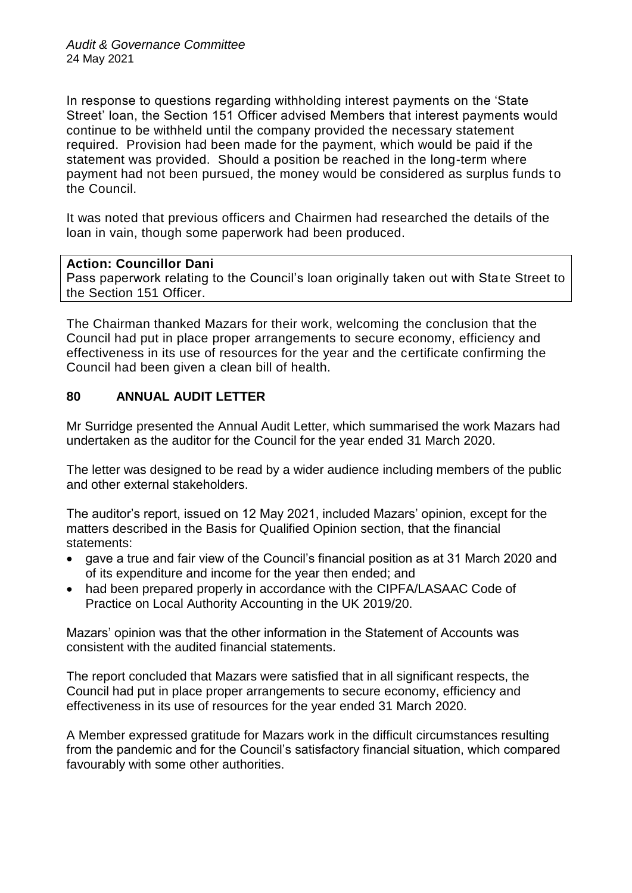In response to questions regarding withholding interest payments on the 'State Street' loan, the Section 151 Officer advised Members that interest payments would continue to be withheld until the company provided the necessary statement required. Provision had been made for the payment, which would be paid if the statement was provided. Should a position be reached in the long-term where payment had not been pursued, the money would be considered as surplus funds to the Council.

It was noted that previous officers and Chairmen had researched the details of the loan in vain, though some paperwork had been produced.

### **Action: Councillor Dani**

Pass paperwork relating to the Council's loan originally taken out with State Street to the Section 151 Officer.

The Chairman thanked Mazars for their work, welcoming the conclusion that the Council had put in place proper arrangements to secure economy, efficiency and effectiveness in its use of resources for the year and the certificate confirming the Council had been given a clean bill of health.

## **80 ANNUAL AUDIT LETTER**

Mr Surridge presented the Annual Audit Letter, which summarised the work Mazars had undertaken as the auditor for the Council for the year ended 31 March 2020.

The letter was designed to be read by a wider audience including members of the public and other external stakeholders.

The auditor's report, issued on 12 May 2021, included Mazars' opinion, except for the matters described in the Basis for Qualified Opinion section, that the financial statements:

- gave a true and fair view of the Council's financial position as at 31 March 2020 and of its expenditure and income for the year then ended; and
- had been prepared properly in accordance with the CIPFA/LASAAC Code of Practice on Local Authority Accounting in the UK 2019/20.

Mazars' opinion was that the other information in the Statement of Accounts was consistent with the audited financial statements.

The report concluded that Mazars were satisfied that in all significant respects, the Council had put in place proper arrangements to secure economy, efficiency and effectiveness in its use of resources for the year ended 31 March 2020.

A Member expressed gratitude for Mazars work in the difficult circumstances resulting from the pandemic and for the Council's satisfactory financial situation, which compared favourably with some other authorities.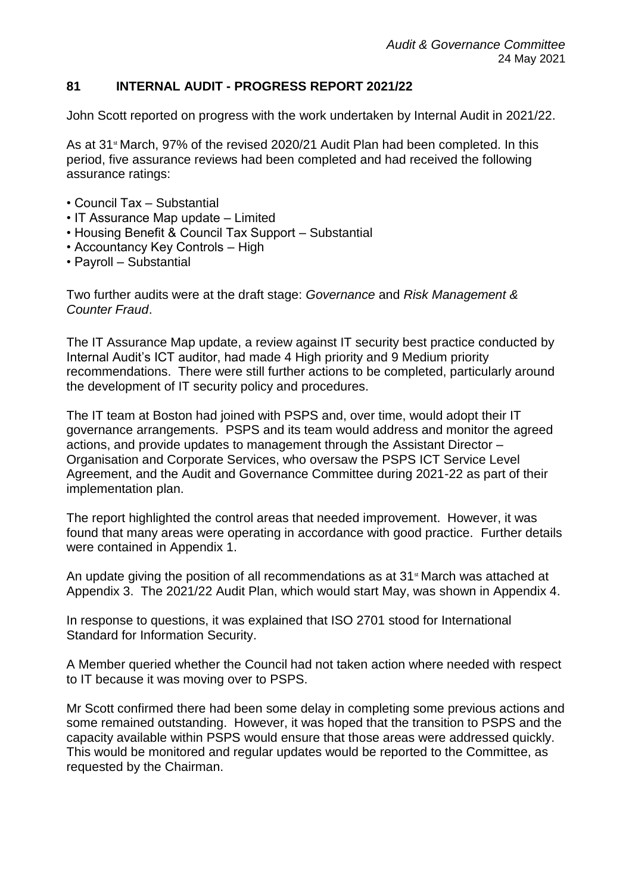# **81 INTERNAL AUDIT - PROGRESS REPORT 2021/22**

John Scott reported on progress with the work undertaken by Internal Audit in 2021/22.

As at  $31$ <sup>st</sup> March, 97% of the revised 2020/21 Audit Plan had been completed. In this period, five assurance reviews had been completed and had received the following assurance ratings:

- Council Tax Substantial
- IT Assurance Map update Limited
- Housing Benefit & Council Tax Support Substantial
- Accountancy Key Controls High
- Payroll Substantial

Two further audits were at the draft stage: *Governance* and *Risk Management & Counter Fraud*.

The IT Assurance Map update, a review against IT security best practice conducted by Internal Audit's ICT auditor, had made 4 High priority and 9 Medium priority recommendations. There were still further actions to be completed, particularly around the development of IT security policy and procedures.

The IT team at Boston had joined with PSPS and, over time, would adopt their IT governance arrangements. PSPS and its team would address and monitor the agreed actions, and provide updates to management through the Assistant Director – Organisation and Corporate Services, who oversaw the PSPS ICT Service Level Agreement, and the Audit and Governance Committee during 2021-22 as part of their implementation plan.

The report highlighted the control areas that needed improvement. However, it was found that many areas were operating in accordance with good practice. Further details were contained in Appendix 1.

An update giving the position of all recommendations as at  $31$ <sup>st</sup> March was attached at Appendix 3. The 2021/22 Audit Plan, which would start May, was shown in Appendix 4.

In response to questions, it was explained that ISO 2701 stood for International Standard for Information Security.

A Member queried whether the Council had not taken action where needed with respect to IT because it was moving over to PSPS.

Mr Scott confirmed there had been some delay in completing some previous actions and some remained outstanding. However, it was hoped that the transition to PSPS and the capacity available within PSPS would ensure that those areas were addressed quickly. This would be monitored and regular updates would be reported to the Committee, as requested by the Chairman.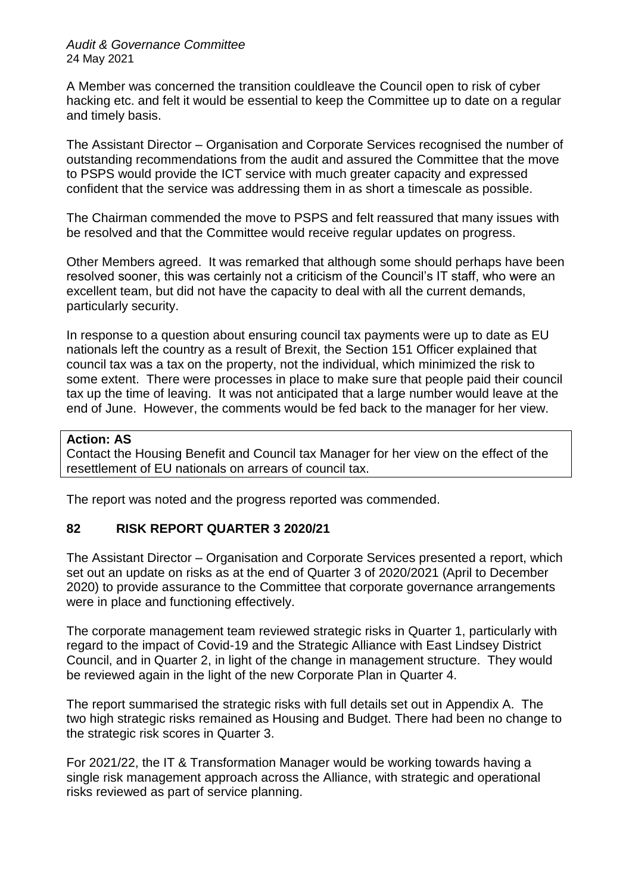#### *Audit & Governance Committee* 24 May 2021

A Member was concerned the transition couldleave the Council open to risk of cyber hacking etc. and felt it would be essential to keep the Committee up to date on a regular and timely basis.

The Assistant Director – Organisation and Corporate Services recognised the number of outstanding recommendations from the audit and assured the Committee that the move to PSPS would provide the ICT service with much greater capacity and expressed confident that the service was addressing them in as short a timescale as possible.

The Chairman commended the move to PSPS and felt reassured that many issues with be resolved and that the Committee would receive regular updates on progress.

Other Members agreed. It was remarked that although some should perhaps have been resolved sooner, this was certainly not a criticism of the Council's IT staff, who were an excellent team, but did not have the capacity to deal with all the current demands, particularly security.

In response to a question about ensuring council tax payments were up to date as EU nationals left the country as a result of Brexit, the Section 151 Officer explained that council tax was a tax on the property, not the individual, which minimized the risk to some extent. There were processes in place to make sure that people paid their council tax up the time of leaving. It was not anticipated that a large number would leave at the end of June. However, the comments would be fed back to the manager for her view.

## **Action: AS**

Contact the Housing Benefit and Council tax Manager for her view on the effect of the resettlement of EU nationals on arrears of council tax.

The report was noted and the progress reported was commended.

# **82 RISK REPORT QUARTER 3 2020/21**

The Assistant Director – Organisation and Corporate Services presented a report, which set out an update on risks as at the end of Quarter 3 of 2020/2021 (April to December 2020) to provide assurance to the Committee that corporate governance arrangements were in place and functioning effectively.

The corporate management team reviewed strategic risks in Quarter 1, particularly with regard to the impact of Covid-19 and the Strategic Alliance with East Lindsey District Council, and in Quarter 2, in light of the change in management structure. They would be reviewed again in the light of the new Corporate Plan in Quarter 4.

The report summarised the strategic risks with full details set out in Appendix A. The two high strategic risks remained as Housing and Budget. There had been no change to the strategic risk scores in Quarter 3.

For 2021/22, the IT & Transformation Manager would be working towards having a single risk management approach across the Alliance, with strategic and operational risks reviewed as part of service planning.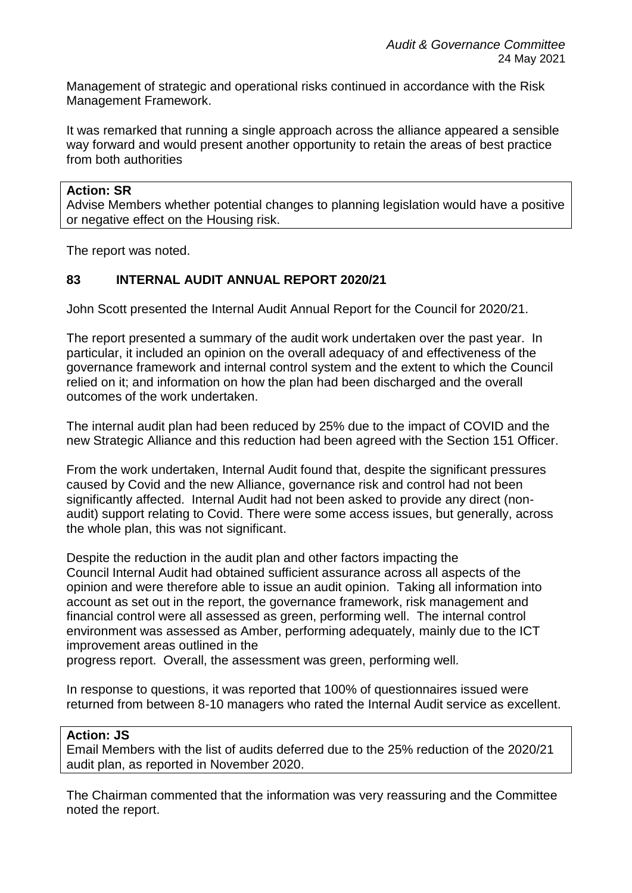Management of strategic and operational risks continued in accordance with the Risk Management Framework.

It was remarked that running a single approach across the alliance appeared a sensible way forward and would present another opportunity to retain the areas of best practice from both authorities

### **Action: SR**

Advise Members whether potential changes to planning legislation would have a positive or negative effect on the Housing risk.

The report was noted.

## **83 INTERNAL AUDIT ANNUAL REPORT 2020/21**

John Scott presented the Internal Audit Annual Report for the Council for 2020/21.

The report presented a summary of the audit work undertaken over the past year. In particular, it included an opinion on the overall adequacy of and effectiveness of the governance framework and internal control system and the extent to which the Council relied on it; and information on how the plan had been discharged and the overall outcomes of the work undertaken.

The internal audit plan had been reduced by 25% due to the impact of COVID and the new Strategic Alliance and this reduction had been agreed with the Section 151 Officer.

From the work undertaken, Internal Audit found that, despite the significant pressures caused by Covid and the new Alliance, governance risk and control had not been significantly affected. Internal Audit had not been asked to provide any direct (nonaudit) support relating to Covid. There were some access issues, but generally, across the whole plan, this was not significant.

Despite the reduction in the audit plan and other factors impacting the Council Internal Audit had obtained sufficient assurance across all aspects of the opinion and were therefore able to issue an audit opinion. Taking all information into account as set out in the report, the governance framework, risk management and financial control were all assessed as green, performing well. The internal control environment was assessed as Amber, performing adequately, mainly due to the ICT improvement areas outlined in the

progress report. Overall, the assessment was green, performing well.

In response to questions, it was reported that 100% of questionnaires issued were returned from between 8-10 managers who rated the Internal Audit service as excellent.

#### **Action: JS**

Email Members with the list of audits deferred due to the 25% reduction of the 2020/21 audit plan, as reported in November 2020.

The Chairman commented that the information was very reassuring and the Committee noted the report.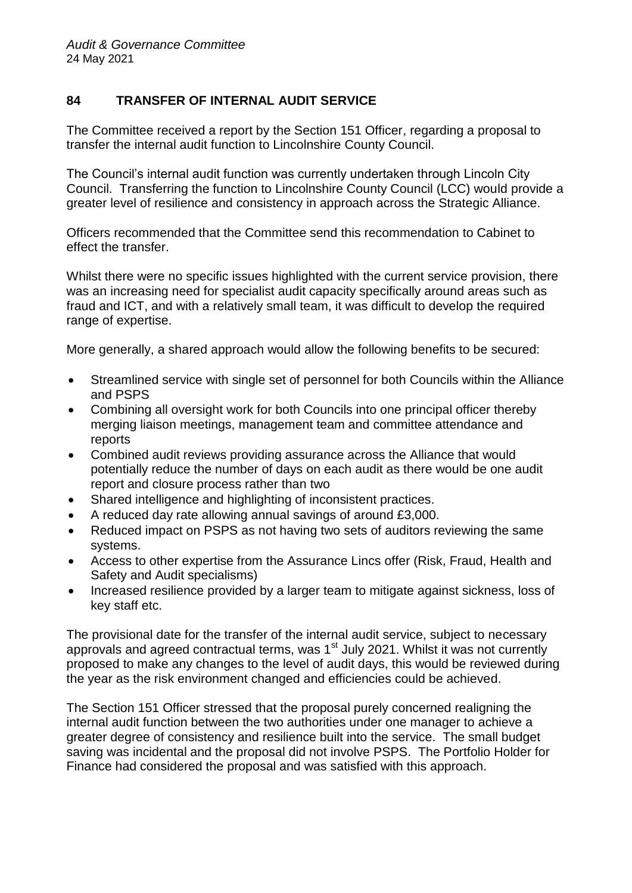# **84 TRANSFER OF INTERNAL AUDIT SERVICE**

The Committee received a report by the Section 151 Officer, regarding a proposal to transfer the internal audit function to Lincolnshire County Council.

The Council's internal audit function was currently undertaken through Lincoln City Council. Transferring the function to Lincolnshire County Council (LCC) would provide a greater level of resilience and consistency in approach across the Strategic Alliance.

Officers recommended that the Committee send this recommendation to Cabinet to effect the transfer.

Whilst there were no specific issues highlighted with the current service provision, there was an increasing need for specialist audit capacity specifically around areas such as fraud and ICT, and with a relatively small team, it was difficult to develop the required range of expertise.

More generally, a shared approach would allow the following benefits to be secured:

- Streamlined service with single set of personnel for both Councils within the Alliance and PSPS
- Combining all oversight work for both Councils into one principal officer thereby merging liaison meetings, management team and committee attendance and reports
- Combined audit reviews providing assurance across the Alliance that would potentially reduce the number of days on each audit as there would be one audit report and closure process rather than two
- Shared intelligence and highlighting of inconsistent practices.
- A reduced day rate allowing annual savings of around £3,000.
- Reduced impact on PSPS as not having two sets of auditors reviewing the same systems.
- Access to other expertise from the Assurance Lincs offer (Risk, Fraud, Health and Safety and Audit specialisms)
- Increased resilience provided by a larger team to mitigate against sickness, loss of key staff etc.

The provisional date for the transfer of the internal audit service, subject to necessary approvals and agreed contractual terms, was 1<sup>st</sup> July 2021. Whilst it was not currently proposed to make any changes to the level of audit days, this would be reviewed during the year as the risk environment changed and efficiencies could be achieved.

The Section 151 Officer stressed that the proposal purely concerned realigning the internal audit function between the two authorities under one manager to achieve a greater degree of consistency and resilience built into the service. The small budget saving was incidental and the proposal did not involve PSPS. The Portfolio Holder for Finance had considered the proposal and was satisfied with this approach.